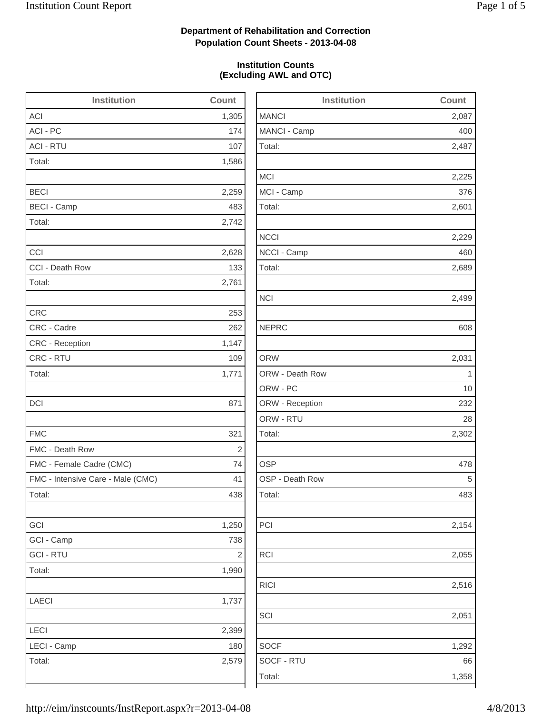2,225

2,229

2,689

2,499

2,302

2,154

2,055

2,516

2,051

1,292

1,358

### **Department of Rehabilitation and Correction Population Count Sheets - 2013-04-08**

### **Institution Counts (Excluding AWL and OTC)**

| <b>Institution</b>                | Count          | <b>Institution</b> | Count          |
|-----------------------------------|----------------|--------------------|----------------|
| <b>ACI</b>                        | 1,305          | <b>MANCI</b>       | 2,087          |
| ACI - PC                          | 174            | MANCI - Camp       | 400            |
| <b>ACI - RTU</b>                  | 107            | Total:             | 2,487          |
| Total:                            | 1,586          |                    |                |
|                                   |                | <b>MCI</b>         | 2,225          |
| <b>BECI</b>                       | 2,259          | MCI - Camp         | 376            |
| <b>BECI - Camp</b>                | 483            | Total:             | 2,601          |
| Total:                            | 2,742          |                    |                |
|                                   |                | <b>NCCI</b>        | 2,229          |
| CCI                               | 2,628          | NCCI - Camp        | 460            |
| CCI - Death Row                   | 133            | Total:             | 2,689          |
| Total:                            | 2,761          |                    |                |
|                                   |                | <b>NCI</b>         | 2,499          |
| <b>CRC</b>                        | 253            |                    |                |
| CRC - Cadre                       | 262            | <b>NEPRC</b>       | 608            |
| <b>CRC</b> - Reception            | 1,147          |                    |                |
| CRC - RTU                         | 109            | <b>ORW</b>         | 2,031          |
| Total:                            | 1,771          | ORW - Death Row    | $\overline{1}$ |
|                                   |                | ORW - PC           | 10             |
| DCI                               | 871            | ORW - Reception    | 232            |
|                                   |                | ORW - RTU          | 28             |
| <b>FMC</b>                        | 321            | Total:             | 2,302          |
| FMC - Death Row                   | $\overline{2}$ |                    |                |
| FMC - Female Cadre (CMC)          | 74             | <b>OSP</b>         | 478            |
| FMC - Intensive Care - Male (CMC) | 41             | OSP - Death Row    | 5              |
| Total:                            | 438            | Total:             | 483            |
| GCI                               | 1,250          | PCI                | 2,154          |
| GCI - Camp                        | 738            |                    |                |
| <b>GCI - RTU</b>                  | $\sqrt{2}$     | <b>RCI</b>         | 2,055          |
| Total:                            | 1,990          |                    |                |
|                                   |                | <b>RICI</b>        | 2,516          |
| <b>LAECI</b>                      | 1,737          |                    |                |
|                                   |                | SCI                | 2,051          |
| LECI                              | 2,399          |                    |                |
| LECI - Camp                       | 180            | <b>SOCF</b>        | 1,292          |
| Total:                            | 2,579          | SOCF - RTU         | 66             |
|                                   |                | Total:             | 1,358          |
|                                   |                |                    |                |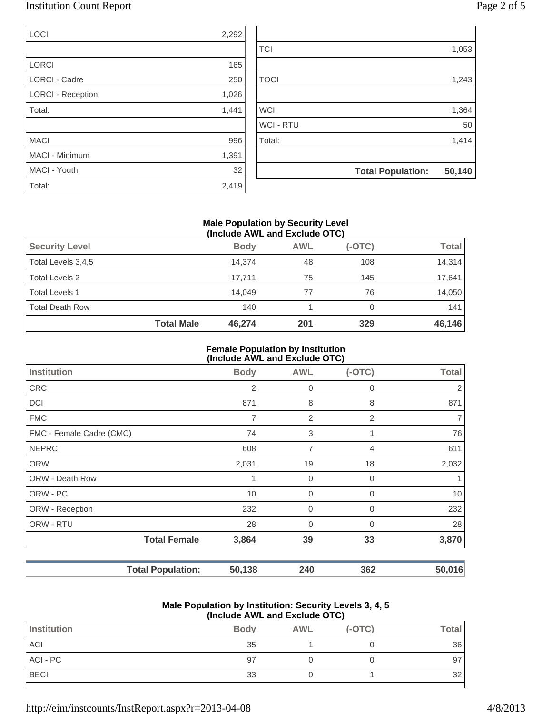### Institution Count Report

| $2$ age $2$ of $2$ |  |  |  |  |
|--------------------|--|--|--|--|
|--------------------|--|--|--|--|

| LOCI                     | 2,292 |                  |                          |        |
|--------------------------|-------|------------------|--------------------------|--------|
|                          |       | <b>TCI</b>       |                          | 1,053  |
| <b>LORCI</b>             | 165   |                  |                          |        |
| <b>LORCI - Cadre</b>     | 250   | <b>TOCI</b>      |                          | 1,243  |
| <b>LORCI - Reception</b> | 1,026 |                  |                          |        |
| Total:                   | 1,441 | <b>WCI</b>       |                          | 1,364  |
|                          |       | <b>WCI - RTU</b> |                          | 50     |
| <b>MACI</b>              | 996   | Total:           |                          | 1,414  |
| MACI - Minimum           | 1,391 |                  |                          |        |
| MACI - Youth             | 32    |                  | <b>Total Population:</b> | 50,140 |
| Total:                   | 2,419 |                  |                          |        |

#### **Male Population by Security Level (Include AWL and Exclude OTC)**

| <b>Total Male</b>      | 46.274      | 201        | 329      | 46,146       |
|------------------------|-------------|------------|----------|--------------|
| <b>Total Death Row</b> | 140         |            |          | 141          |
| <b>Total Levels 1</b>  | 14.049      | 77         | 76       | 14,050       |
| <b>Total Levels 2</b>  | 17.711      | 75         | 145      | 17,641       |
| Total Levels 3,4,5     | 14.374      | 48         | 108      | 14,314       |
| <b>Security Level</b>  | <b>Body</b> | <b>AWL</b> | $(-OTC)$ | <b>Total</b> |
|                        |             |            |          |              |

#### **Female Population by Institution (Include AWL and Exclude OTC)**

| <b>Institution</b>       | <b>Body</b>    | $($ melddo $\pi$ meldhol exelddo o ro $\eta$<br><b>AWL</b> | $(-OTC)$    | <b>Total</b> |
|--------------------------|----------------|------------------------------------------------------------|-------------|--------------|
|                          |                |                                                            |             |              |
| <b>CRC</b>               | $\overline{2}$ | 0                                                          | 0           | 2            |
| DCI                      | 871            | 8                                                          | 8           | 871          |
| <b>FMC</b>               | 7              | $\overline{2}$                                             | 2           | 7            |
| FMC - Female Cadre (CMC) | 74             | 3                                                          |             | 76           |
| <b>NEPRC</b>             | 608            | $\overline{7}$                                             | 4           | 611          |
| <b>ORW</b>               | 2,031          | 19                                                         | 18          | 2,032        |
| ORW - Death Row          | 1              | $\mathbf 0$                                                | $\mathbf 0$ |              |
| ORW - PC                 | 10             | $\mathbf 0$                                                | 0           | 10           |
| ORW - Reception          | 232            | $\mathbf 0$                                                | 0           | 232          |
| ORW - RTU                | 28             | $\overline{0}$                                             | $\Omega$    | 28           |
| <b>Total Female</b>      | 3,864          | 39                                                         | 33          | 3,870        |
| <b>Total Population:</b> | 50,138         | 240                                                        | 362         | 50,016       |

#### **Male Population by Institution: Security Levels 3, 4, 5 (Include AWL and Exclude OTC)**

| \!!!V!WWV / \\! = u!!W = ^\V!WWV V ! V / |             |            |          |              |  |
|------------------------------------------|-------------|------------|----------|--------------|--|
| Institution                              | <b>Body</b> | <b>AWL</b> | $(-OTC)$ | <b>Total</b> |  |
| <b>ACI</b>                               | 35          |            |          | 36           |  |
| ACI - PC                                 | 97          |            |          | 97           |  |
| <b>BECI</b>                              | 33          |            |          | 32           |  |
|                                          |             |            |          |              |  |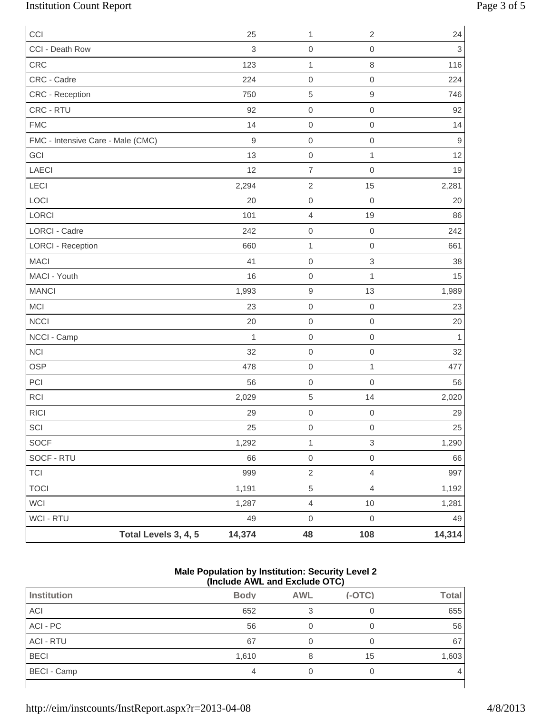## Institution Count Report Page 3 of 5

| CCI                               |                      | 25          | 1                   | $\sqrt{2}$          | 24                        |
|-----------------------------------|----------------------|-------------|---------------------|---------------------|---------------------------|
| CCI - Death Row                   |                      | 3           | $\mbox{O}$          | $\mathsf{O}\xspace$ | $\ensuremath{\mathsf{3}}$ |
| CRC                               |                      | 123         | $\mathbf 1$         | 8                   | 116                       |
| CRC - Cadre                       |                      | 224         | $\mathbf 0$         | $\mathbf 0$         | 224                       |
| CRC - Reception                   |                      | 750         | $\overline{5}$      | $\hbox{9}$          | 746                       |
| CRC - RTU                         |                      | 92          | $\mathbf 0$         | $\,0\,$             | 92                        |
| <b>FMC</b>                        |                      | 14          | $\mathbf 0$         | $\mathbf 0$         | 14                        |
| FMC - Intensive Care - Male (CMC) |                      | $\mathsf g$ | $\mathbf 0$         | $\mathbf 0$         | $\hbox{9}$                |
| GCI                               |                      | 13          | $\mathbf 0$         | $\mathbf{1}$        | 12                        |
| LAECI                             |                      | 12          | $\overline{7}$      | $\mathsf{O}\xspace$ | 19                        |
| LECI                              |                      | 2,294       | $\sqrt{2}$          | 15                  | 2,281                     |
| LOCI                              |                      | 20          | $\mathbf 0$         | $\mathbf 0$         | 20                        |
| LORCI                             |                      | 101         | $\overline{4}$      | 19                  | 86                        |
| <b>LORCI - Cadre</b>              |                      | 242         | $\mbox{O}$          | $\mathbf 0$         | 242                       |
| <b>LORCI - Reception</b>          |                      | 660         | $\mathbf{1}$        | $\mathbf 0$         | 661                       |
| <b>MACI</b>                       |                      | 41          | $\mathbf 0$         | $\,$ 3 $\,$         | 38                        |
| MACI - Youth                      |                      | 16          | $\mathbf 0$         | $\mathbf{1}$        | 15                        |
| <b>MANCI</b>                      |                      | 1,993       | $\hbox{9}$          | 13                  | 1,989                     |
| <b>MCI</b>                        |                      | 23          | $\mathbf 0$         | $\mathbf 0$         | 23                        |
| <b>NCCI</b>                       |                      | 20          | $\mathbf 0$         | $\mathbf 0$         | 20                        |
| NCCI - Camp                       |                      | 1           | $\mathbf 0$         | $\mathbf 0$         | $\overline{1}$            |
| <b>NCI</b>                        |                      | 32          | $\mathbf 0$         | $\mathbf 0$         | 32                        |
| <b>OSP</b>                        |                      | 478         | $\mbox{O}$          | $\mathbf{1}$        | 477                       |
| PCI                               |                      | 56          | $\mathbf 0$         | $\mathbf 0$         | 56                        |
| <b>RCI</b>                        |                      | 2,029       | $\sqrt{5}$          | 14                  | 2,020                     |
| <b>RICI</b>                       |                      | 29          | $\mathbf 0$         | $\mathbf 0$         | 29                        |
| $\ensuremath{\mathsf{SCI}}$       |                      | 25          | $\mathsf{O}\xspace$ | $\mathsf{O}\xspace$ | 25                        |
| SOCF                              |                      | 1,292       | $\mathbf{1}$        | $\,$ 3 $\,$         | 1,290                     |
| SOCF - RTU                        |                      | 66          | $\mbox{O}$          | $\mathbf 0$         | 66                        |
| <b>TCI</b>                        |                      | 999         | $\sqrt{2}$          | $\overline{4}$      | 997                       |
| <b>TOCI</b>                       |                      | 1,191       | $\,$ 5 $\,$         | $\overline{4}$      | 1,192                     |
| WCI                               |                      | 1,287       | $\overline{4}$      | $10\,$              | 1,281                     |
| WCI - RTU                         |                      | 49          | $\mathbf 0$         | $\mathbf 0$         | 49                        |
|                                   | Total Levels 3, 4, 5 | 14,374      | 48                  | 108                 | 14,314                    |

#### **Male Population by Institution: Security Level 2 (Include AWL and Exclude OTC)**

| Institution      | <b>Body</b> | <b>AWL</b> | $(-OTC)$ | <b>Total</b>   |
|------------------|-------------|------------|----------|----------------|
| ACI              | 652         |            |          | 655            |
| ACI - PC         | 56          |            |          | 56             |
| <b>ACI - RTU</b> | 67          |            |          | 67             |
| <b>BECI</b>      | 1,610       |            | 15       | 1,603          |
| BECI - Camp      |             |            |          | $\overline{4}$ |
|                  |             |            |          |                |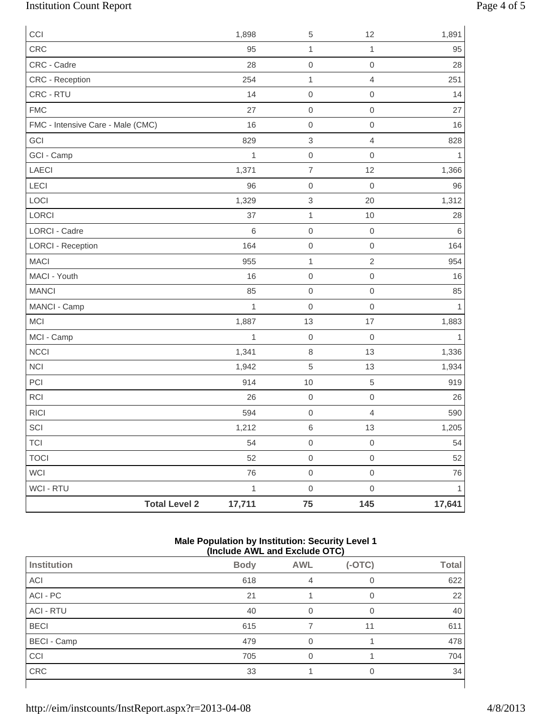## Institution Count Report Page 4 of 5

| CCI                               | 1,898        | $\,$ 5 $\,$               | 12               | 1,891        |
|-----------------------------------|--------------|---------------------------|------------------|--------------|
| CRC                               | 95           | $\mathbf{1}$              | 1                | 95           |
| CRC - Cadre                       | 28           | $\mathbf 0$               | $\mathbf 0$      | 28           |
| CRC - Reception                   | 254          | $\mathbf{1}$              | $\overline{4}$   | 251          |
| CRC - RTU                         | 14           | $\boldsymbol{0}$          | $\mathbf 0$      | 14           |
| <b>FMC</b>                        | 27           | $\boldsymbol{0}$          | $\mathbf 0$      | 27           |
| FMC - Intensive Care - Male (CMC) | 16           | $\boldsymbol{0}$          | $\mathbf 0$      | 16           |
| GCI                               | 829          | $\ensuremath{\mathsf{3}}$ | 4                | 828          |
| GCI - Camp                        | 1            | $\boldsymbol{0}$          | $\mathbf 0$      | 1            |
| LAECI                             | 1,371        | $\overline{\mathcal{I}}$  | 12               | 1,366        |
| LECI                              | 96           | $\mbox{O}$                | $\mathbf 0$      | 96           |
| LOCI                              | 1,329        | $\,$ 3 $\,$               | 20               | 1,312        |
| LORCI                             | 37           | $\mathbf{1}$              | 10               | 28           |
| <b>LORCI - Cadre</b>              | $6\,$        | $\boldsymbol{0}$          | $\boldsymbol{0}$ | 6            |
| <b>LORCI - Reception</b>          | 164          | $\mbox{O}$                | $\mathbf 0$      | 164          |
| <b>MACI</b>                       | 955          | $\mathbf{1}$              | $\sqrt{2}$       | 954          |
| MACI - Youth                      | 16           | $\boldsymbol{0}$          | $\mathbf 0$      | 16           |
| <b>MANCI</b>                      | 85           | $\mathsf{O}\xspace$       | $\mbox{O}$       | 85           |
| MANCI - Camp                      | $\mathbf{1}$ | $\boldsymbol{0}$          | $\mathbf 0$      | 1            |
| MCI                               | 1,887        | 13                        | 17               | 1,883        |
| MCI - Camp                        | $\mathbf{1}$ | $\mathbf 0$               | $\boldsymbol{0}$ | $\mathbf{1}$ |
| <b>NCCI</b>                       | 1,341        | $\,8\,$                   | 13               | 1,336        |
| NCI                               | 1,942        | $\,$ 5 $\,$               | 13               | 1,934        |
| PCI                               | 914          | 10                        | 5                | 919          |
| <b>RCI</b>                        | 26           | $\mbox{O}$                | $\mathbf 0$      | 26           |
| <b>RICI</b>                       | 594          | $\mbox{O}$                | 4                | 590          |
| SCI                               | 1,212        | $\,6\,$                   | 13               | 1,205        |
| <b>TCI</b>                        | 54           | $\mathbf 0$               | $\mathbf 0$      | 54           |
| <b>TOCI</b>                       | 52           | $\mbox{O}$                | $\mathbf 0$      | 52           |
| WCI                               | 76           | $\mathbf 0$               | $\mathbf 0$      | 76           |
| WCI - RTU                         | $\mathbf{1}$ | $\mbox{O}$                | $\mbox{O}$       | $\mathbf{1}$ |
| <b>Total Level 2</b>              | 17,711       | 75                        | 145              | 17,641       |

#### **Male Population by Institution: Security Level 1 (Include AWL and Exclude OTC)**

| .<br>.             |             |            |          |              |
|--------------------|-------------|------------|----------|--------------|
| <b>Institution</b> | <b>Body</b> | <b>AWL</b> | $(-OTC)$ | <b>Total</b> |
| ACI                | 618         | 4          | 0        | 622          |
| ACI - PC           | 21          |            | 0        | 22           |
| <b>ACI - RTU</b>   | 40          | 0          | 0        | 40           |
| <b>BECI</b>        | 615         |            | 11       | 611          |
| <b>BECI - Camp</b> | 479         | $\Omega$   |          | 478          |
| CCI                | 705         |            |          | 704          |
| CRC                | 33          |            | 0        | 34           |
|                    |             |            |          |              |